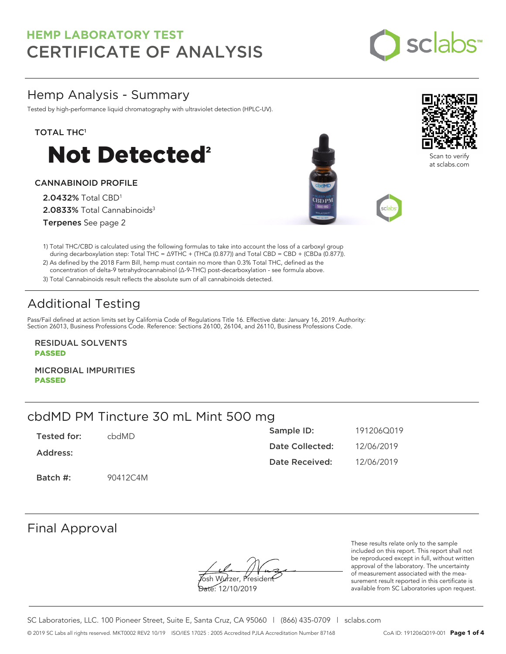

# Hemp Analysis - Summary

Tested by high-performance liquid chromatography with ultraviolet detection (HPLC-UV).

### TOTAL THC<sup>1</sup>



### CANNABINOID PROFILE

2.0432% Total CBD<sup>1</sup> 2.0833% Total Cannabinoids<sup>3</sup> Terpenes See page 2





Scan to verif at sclabs.com

1) Total THC/CBD is calculated using the following formulas to take into account the loss of a carboxyl group during decarboxylation step: Total THC = ∆9THC + (THCa (0.877)) and Total CBD = CBD + (CBDa (0.877)).

2) As defined by the 2018 Farm Bill, hemp must contain no more than 0.3% Total THC, defined as the concentration of delta-9 tetrahydrocannabinol (Δ-9-THC) post-decarboxylation - see formula above.

3) Total Cannabinoids result reflects the absolute sum of all cannabinoids detected.

# Additional Testing

Pass/Fail defined at action limits set by California Code of Regulations Title 16. Effective date: January 16, 2019. Authority: Section 26013, Business Professions Code. Reference: Sections 26100, 26104, and 26110, Business Professions Code.

RESIDUAL SOLVENTS PASSED

MICROBIAL IMPURITIES PASSED

# cbdMD PM Tincture 30 mL Mint 500 mg

| Tested for: | chdMD.   | Sample ID:      | 191206Q019 |
|-------------|----------|-----------------|------------|
| Address:    |          | Date Collected: | 12/06/2019 |
|             |          | Date Received:  | 12/06/2019 |
| Batch #:    | 90412C4M |                 |            |

# Final Approval

Josh Wurzer, President

Date: 12/10/2019

These results relate only to the sample included on this report. This report shall not be reproduced except in full, without written approval of the laboratory. The uncertainty of measurement associated with the measurement result reported in this certificate is available from SC Laboratories upon request.

SC Laboratories, LLC. 100 Pioneer Street, Suite E, Santa Cruz, CA 95060 | (866) 435-0709 | sclabs.com © 2019 SC Labs all rights reserved. MKT0002 REV2 10/19 ISO/IES 17025 : 2005 Accredited PJLA Accreditation Number 87168 CoA ID: 191206Q019-001 **Page 1 of 4**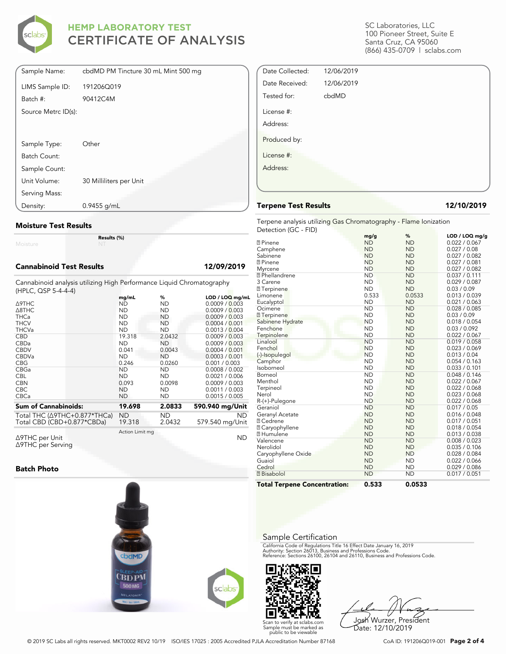

| Sample Name:        | cbdMD PM Tincture 30 mL Mint 500 mg |
|---------------------|-------------------------------------|
| LIMS Sample ID:     | 191206Q019                          |
| Batch #:            | 90412C4M                            |
| Source Metrc ID(s): |                                     |
|                     |                                     |
| Sample Type:        | Other                               |
| Batch Count:        |                                     |
| Sample Count:       |                                     |
| Unit Volume:        | 30 Milliliters per Unit             |
| Serving Mass:       |                                     |
| Density:            | $0.9455$ g/mL                       |

### Moisture Test Results

Moisture

### Cannabinoid Test Results 12/09/2019

Cannabinoid analysis utilizing High Performance Liquid Chromatography (HPLC, QSP 5-4-4-4)

Results (%)

| $(111 - 20)$ , where $-17$   | mg/mL           | %         | LOD / LOQ mg/mL |
|------------------------------|-----------------|-----------|-----------------|
| ∆9THC                        | ND              | ND        | 0.0009 / 0.003  |
| $\triangle$ 8THC             | <b>ND</b>       | <b>ND</b> | 0.0009 / 0.003  |
| <b>THCa</b>                  | <b>ND</b>       | <b>ND</b> | 0.0009 / 0.003  |
| <b>THCV</b>                  | <b>ND</b>       | <b>ND</b> | 0.0004 / 0.001  |
| <b>THCVa</b>                 | <b>ND</b>       | <b>ND</b> | 0.0013 / 0.004  |
| <b>CBD</b>                   | 19.318          | 2.0432    | 0.0009 / 0.003  |
| CBDa                         | <b>ND</b>       | <b>ND</b> | 0.0009 / 0.003  |
| <b>CBDV</b>                  | 0.041           | 0.0043    | 0.0004 / 0.001  |
| <b>CBDVa</b>                 | <b>ND</b>       | <b>ND</b> | 0.0003 / 0.001  |
| <b>CBG</b>                   | 0.246           | 0.0260    | 0.001 / 0.003   |
| CBGa                         | <b>ND</b>       | <b>ND</b> | 0.0008 / 0.002  |
| <b>CBL</b>                   | <b>ND</b>       | <b>ND</b> | 0.0021 / 0.006  |
| <b>CBN</b>                   | 0.093           | 0.0098    | 0.0009 / 0.003  |
| <b>CBC</b>                   | <b>ND</b>       | <b>ND</b> | 0.0011 / 0.003  |
| CBCa                         | <b>ND</b>       | ND        | 0.0015 / 0.005  |
| <b>Sum of Cannabinoids:</b>  | 19.698          | 2.0833    | 590.940 mg/Unit |
| Total THC (Δ9THC+0.877*THCa) | ND.             | <b>ND</b> | <b>ND</b>       |
| Total CBD (CBD+0.877*CBDa)   | 19.318          | 2.0432    | 579.540 mg/Unit |
|                              | Action Limit mg |           |                 |
| ∆9THC per Unit               |                 |           | <b>ND</b>       |

Δ9THC per Unit Δ9THC per Serving

### Batch Photo



SC Laboratories, LLC 100 Pioneer Street, Suite E Santa Cruz, CA 95060 (866) 435-0709 | sclabs.com

| Date Collected: | 12/06/2019 |  |
|-----------------|------------|--|
| Date Received:  | 12/06/2019 |  |
| Tested for:     | cbdMD      |  |
| License #:      |            |  |
| Address:        |            |  |
| Produced by:    |            |  |
| License #:      |            |  |
| Address:        |            |  |
|                 |            |  |
|                 |            |  |

### Terpene Test Results 12/10/2019

Terpene analysis utilizing Gas Chromatography - Flame Ionization Detection (GC - FID)

|                                     | mg/g      | %         | LOD / LOQ mg/g |
|-------------------------------------|-----------|-----------|----------------|
| <b>2</b> Pinene                     | <b>ND</b> | <b>ND</b> | 0.022 / 0.067  |
| Camphene                            | <b>ND</b> | <b>ND</b> | 0.027 / 0.08   |
| Sabinene                            | <b>ND</b> | <b>ND</b> | 0.027 / 0.082  |
| <b>2</b> Pinene                     | <b>ND</b> | <b>ND</b> | 0.027 / 0.081  |
| Myrcene                             | <b>ND</b> | <b>ND</b> | 0.027 / 0.082  |
| <sup>2</sup> Phellandrene           | <b>ND</b> | <b>ND</b> | 0.037 / 0.111  |
| 3 Carene                            | <b>ND</b> | <b>ND</b> | 0.029 / 0.087  |
| <b>7</b> Terpinene                  | <b>ND</b> | <b>ND</b> | 0.03 / 0.09    |
| Limonene                            | 0.533     | 0.0533    | 0.013 / 0.039  |
| Eucalyptol                          | <b>ND</b> | <b>ND</b> | 0.021 / 0.063  |
| Ocimene                             | <b>ND</b> | <b>ND</b> | 0.028 / 0.085  |
| <b>7</b> Terpinene                  | <b>ND</b> | <b>ND</b> | 0.03 / 0.09    |
| Sabinene Hydrate                    | <b>ND</b> | <b>ND</b> | 0.018 / 0.054  |
| Fenchone                            | <b>ND</b> | <b>ND</b> | 0.03 / 0.092   |
| Terpinolene                         | <b>ND</b> | <b>ND</b> | 0.022 / 0.067  |
| Linalool                            | <b>ND</b> | <b>ND</b> | 0.019 / 0.058  |
| Fenchol                             | <b>ND</b> | <b>ND</b> | 0.023 / 0.069  |
| (-)-Isopulegol                      | <b>ND</b> | <b>ND</b> | 0.013 / 0.04   |
| Camphor                             | <b>ND</b> | <b>ND</b> | 0.054 / 0.163  |
| Isoborneol                          | <b>ND</b> | <b>ND</b> | 0.033 / 0.101  |
| Borneol                             | <b>ND</b> | <b>ND</b> | 0.048 / 0.146  |
| Menthol                             | <b>ND</b> | <b>ND</b> | 0.022 / 0.067  |
| Terpineol                           | <b>ND</b> | <b>ND</b> | 0.022 / 0.068  |
| Nerol                               | <b>ND</b> | <b>ND</b> | 0.023 / 0.068  |
| R-(+)-Pulegone                      | <b>ND</b> | <b>ND</b> | 0.022 / 0.068  |
| Geraniol                            | <b>ND</b> | <b>ND</b> | 0.017 / 0.05   |
| Geranyl Acetate                     | <b>ND</b> | <b>ND</b> | 0.016 / 0.048  |
| <b>7 Cedrene</b>                    | <b>ND</b> | <b>ND</b> | 0.017 / 0.051  |
| <b>2 Caryophyllene</b>              | <b>ND</b> | <b>ND</b> | 0.018 / 0.054  |
| <b>7 Humulene</b>                   | <b>ND</b> | <b>ND</b> | 0.013 / 0.038  |
| Valencene                           | <b>ND</b> | <b>ND</b> | 0.008 / 0.023  |
| Nerolidol                           | <b>ND</b> | <b>ND</b> | 0.035 / 0.106  |
| Caryophyllene Oxide                 | <b>ND</b> | <b>ND</b> | 0.028 / 0.084  |
| Guaiol                              | <b>ND</b> | <b>ND</b> | 0.022 / 0.066  |
| Cedrol                              | <b>ND</b> | <b>ND</b> | 0.029 / 0.086  |
| <b>7</b> Bisabolol                  | <b>ND</b> | <b>ND</b> | 0.017 / 0.051  |
| <b>Total Terpene Concentration:</b> | 0.533     | 0.0533    |                |

### Sample Certification

California Code of Regulations Title 16 Effect Date January 16, 2019<br>Authority: Section 26013, Business and Professions Code.<br>Reference: Sections 26100, 26104 and 26110, Business and Professions Code.



Josh Wurzer, President Date: 12/10/2019

© 2019 SC Labs all rights reserved. MKT0002 REV2 10/19 ISO/IES 17025 : 2005 Accredited PJLA Accreditation Number 87168 CoA ID: 191206Q019-001 **Page 2 of 4**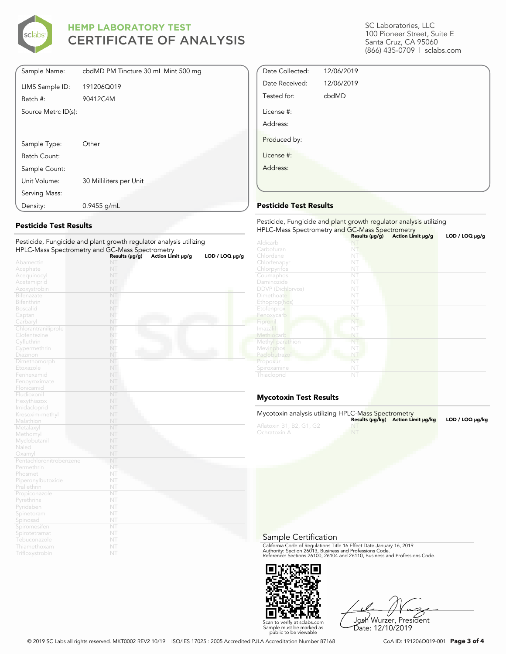

| Sample Name:        | cbdMD PM Tincture 30 mL Mint 500 mg |
|---------------------|-------------------------------------|
|                     |                                     |
| LIMS Sample ID:     | 191206Q019                          |
| Batch #:            | 90412C4M                            |
| Source Metrc ID(s): |                                     |
|                     |                                     |
|                     |                                     |
| Sample Type:        | Other                               |
| Batch Count:        |                                     |
| Sample Count:       |                                     |
| Unit Volume:        | 30 Milliliters per Unit             |
| Serving Mass:       |                                     |
| Density:            | $0.9455$ g/mL                       |

### Pesticide Test Results

| Pesticide, Fungicide and plant growth regulator analysis utilizing |                |                   |                |
|--------------------------------------------------------------------|----------------|-------------------|----------------|
| HPLC-Mass Spectrometry and GC-Mass Spectrometry                    |                |                   |                |
|                                                                    | Results (µg/g) | Action Limit µg/g | LOD / LOQ µg/g |
| Abamectin                                                          | NT             |                   |                |
| Acephate                                                           | NT             |                   |                |
| Acequinocyl                                                        | NT             |                   |                |
| Acetamiprid                                                        | NT             |                   |                |
| Azoxystrobin                                                       | NT             |                   |                |
| <b>Bifenazate</b>                                                  | NT             |                   |                |
| <b>Bifenthrin</b>                                                  | NT             |                   |                |
| <b>Boscalid</b>                                                    | NT             |                   |                |
| Captan                                                             | NT             |                   |                |
| Carbaryl                                                           | NT             |                   |                |
| Chlorantraniliprole                                                | NT             |                   |                |
| Clofentezine                                                       | NT             |                   |                |
| Cyfluthrin                                                         | NT             |                   |                |
| Cypermethrin                                                       | NT             |                   |                |
| Diazinon                                                           | NT             |                   |                |
| Dimethomorph                                                       | NT             |                   |                |
| Etoxazole                                                          | NT             |                   |                |
| Fenhexamid                                                         | NT             |                   |                |
| Fenpyroximate                                                      | NT             |                   |                |
| Flonicamid                                                         | NT             |                   |                |
| Fludioxonil                                                        | NT             |                   |                |
| Hexythiazox                                                        | NT             |                   |                |
| Imidacloprid                                                       | NT             |                   |                |
| Kresoxim-methyl                                                    | NT             |                   |                |
| Malathion                                                          | NT             |                   |                |
| Metalaxyl                                                          | NT             |                   |                |
| Methomyl                                                           | NT             |                   |                |
| Myclobutanil                                                       | NT             |                   |                |
| Naled                                                              | NT             |                   |                |
| Oxamyl                                                             | NT             |                   |                |
| Pentachloronitrobenzene                                            | NT             |                   |                |
| Permethrin                                                         | NT             |                   |                |
| Phosmet                                                            | NT             |                   |                |
| Piperonylbutoxide                                                  | NT             |                   |                |
| Prallethrin                                                        | NT             |                   |                |
| Propiconazole                                                      | NT             |                   |                |
| Pyrethrins                                                         | NT             |                   |                |
| Pyridaben                                                          | NT             |                   |                |
| Spinetoram                                                         | NT             |                   |                |
| Spinosad                                                           | NT             |                   |                |
| Spiromesiten                                                       | NT             |                   |                |
| Spirotetramat                                                      | NT             |                   |                |
| Tebuconazole                                                       | NT             |                   |                |
| Thiamethoxam                                                       | NT             |                   |                |
| Trifloxystrobin                                                    | NT             |                   |                |

SC Laboratories, LLC 100 Pioneer Street, Suite E Santa Cruz, CA 95060 (866) 435-0709 | sclabs.com

| Date Collected: | 12/06/2019 |  |
|-----------------|------------|--|
| Date Received:  | 12/06/2019 |  |
| Tested for:     | cbdMD      |  |
| License #:      |            |  |
| Address:        |            |  |
| Produced by:    |            |  |
| License #:      |            |  |
| Address:        |            |  |
|                 |            |  |

### Pesticide Test Results

| Pesticide, Fungicide and plant growth regulator analysis utilizing<br>HPLC-Mass Spectrometry and GC-Mass Spectrometry |                     |                   |                     |  |
|-----------------------------------------------------------------------------------------------------------------------|---------------------|-------------------|---------------------|--|
|                                                                                                                       | Results $(\mu g/g)$ | Action Limit µg/g | $LOD / LOQ \mu g/g$ |  |
| Aldicarb                                                                                                              |                     |                   |                     |  |
| Carbofuran                                                                                                            | NT                  |                   |                     |  |
| Chlordane                                                                                                             | NT                  |                   |                     |  |
| Chlorfenapyr                                                                                                          | NT                  |                   |                     |  |
| Chlorpyrifos                                                                                                          | NT                  |                   |                     |  |
| Coumaphos                                                                                                             | NT                  |                   |                     |  |
| Daminozide                                                                                                            | NT                  |                   |                     |  |
| <b>DDVP</b> (Dichlorvos)                                                                                              | NT                  |                   |                     |  |
| Dimethoate                                                                                                            | NT                  |                   |                     |  |
| Ethoprop(hos)                                                                                                         | NT                  |                   |                     |  |
| Etofenprox                                                                                                            | NT                  |                   |                     |  |
| Fenoxycarb                                                                                                            | NT                  |                   |                     |  |
| Fipronil                                                                                                              | NT                  |                   |                     |  |
| Imazalil                                                                                                              | NT                  |                   |                     |  |
| Methiocarb                                                                                                            | NT                  |                   |                     |  |
| Methyl parathion                                                                                                      | NT                  |                   |                     |  |
| Mevinphos                                                                                                             | NT                  |                   |                     |  |
| Paclobutrazol                                                                                                         | NT                  |                   |                     |  |
| Propoxur                                                                                                              | NT                  |                   |                     |  |
| Spiroxamine                                                                                                           | NT                  |                   |                     |  |
| Thiacloprid                                                                                                           | NT                  |                   |                     |  |

### Mycotoxin Test Results

| Mycotoxin analysis utilizing HPLC-Mass Spectrometry |    | Results (µq/kq) Action Limit µq/kq | LOD / LOQ µq/kq |
|-----------------------------------------------------|----|------------------------------------|-----------------|
| Aflatoxin B1, B2, G1, G2<br>Ochratoxin A            | NT |                                    |                 |

Sample Certification

California Code of Regulations Title 16 Effect Date January 16, 2019<br>Authority: Section 26013, Business and Professions Code.<br>Reference: Sections 26100, 26104 and 26110, Business and Professions Code.



Josh Wurzer, President Date: 12/10/2019

© 2019 SC Labs all rights reserved. MKT0002 REV2 10/19 ISO/IES 17025 : 2005 Accredited PJLA Accreditation Number 87168 CoA ID: 191206Q019-001 **Page 3 of 4**